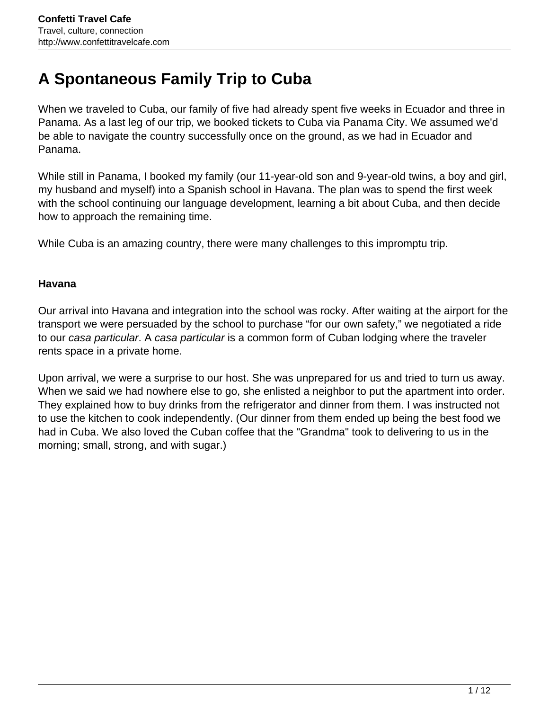# **A Spontaneous Family Trip to Cuba**

When we traveled to Cuba, our family of five had already spent five weeks in Ecuador and three in Panama. As a last leg of our trip, we booked tickets to Cuba via Panama City. We assumed we'd be able to navigate the country successfully once on the ground, as we had in Ecuador and Panama.

While still in Panama, I booked my family (our 11-year-old son and 9-year-old twins, a boy and girl, my husband and myself) into a Spanish school in Havana. The plan was to spend the first week with the school continuing our language development, learning a bit about Cuba, and then decide how to approach the remaining time.

While Cuba is an amazing country, there were many challenges to this impromptu trip.

#### **Havana**

Our arrival into Havana and integration into the school was rocky. After waiting at the airport for the transport we were persuaded by the school to purchase "for our own safety," we negotiated a ride to our casa particular. A casa particular is a common form of Cuban lodging where the traveler rents space in a private home.

Upon arrival, we were a surprise to our host. She was unprepared for us and tried to turn us away. When we said we had nowhere else to go, she enlisted a neighbor to put the apartment into order. They explained how to buy drinks from the refrigerator and dinner from them. I was instructed not to use the kitchen to cook independently. (Our dinner from them ended up being the best food we had in Cuba. We also loved the Cuban coffee that the "Grandma" took to delivering to us in the morning; small, strong, and with sugar.)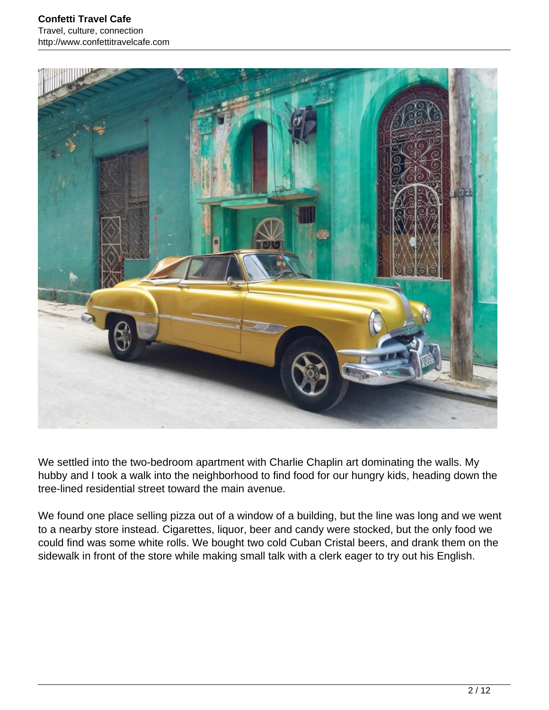

We settled into the two-bedroom apartment with Charlie Chaplin art dominating the walls. My hubby and I took a walk into the neighborhood to find food for our hungry kids, heading down the tree-lined residential street toward the main avenue.

We found one place selling pizza out of a window of a building, but the line was long and we went to a nearby store instead. Cigarettes, liquor, beer and candy were stocked, but the only food we could find was some white rolls. We bought two cold Cuban Cristal beers, and drank them on the sidewalk in front of the store while making small talk with a clerk eager to try out his English.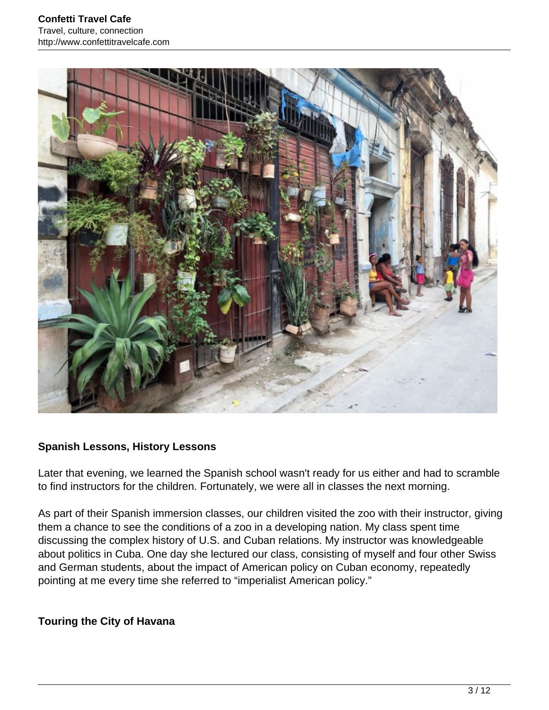

#### **Spanish Lessons, History Lessons**

Later that evening, we learned the Spanish school wasn't ready for us either and had to scramble to find instructors for the children. Fortunately, we were all in classes the next morning.

As part of their Spanish immersion classes, our children visited the zoo with their instructor, giving them a chance to see the conditions of a zoo in a developing nation. My class spent time discussing the complex history of U.S. and Cuban relations. My instructor was knowledgeable about politics in Cuba. One day she lectured our class, consisting of myself and four other Swiss and German students, about the impact of American policy on Cuban economy, repeatedly pointing at me every time she referred to "imperialist American policy."

#### **Touring the City of Havana**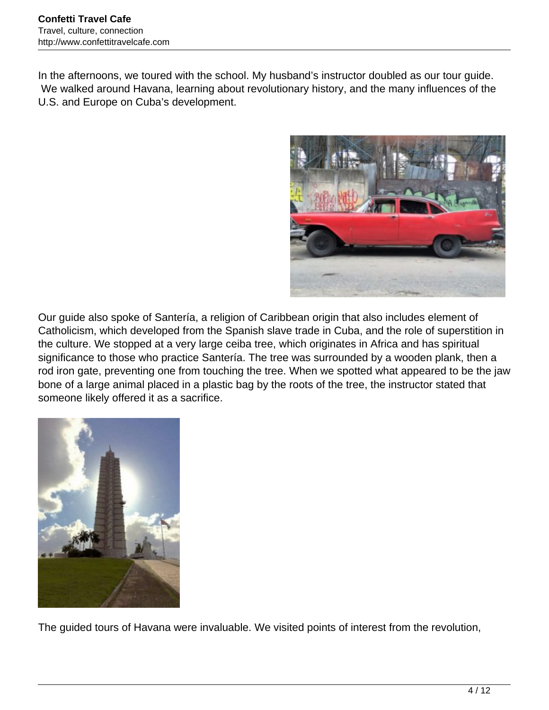In the afternoons, we toured with the school. My husband's instructor doubled as our tour guide. We walked around Havana, learning about revolutionary history, and the many influences of the U.S. and Europe on Cuba's development.



Our guide also spoke of Santería, a religion of Caribbean origin that also includes element of Catholicism, which developed from the Spanish slave trade in Cuba, and the role of superstition in the culture. We stopped at a very large ceiba tree, which originates in Africa and has spiritual significance to those who practice Santería. The tree was surrounded by a wooden plank, then a rod iron gate, preventing one from touching the tree. When we spotted what appeared to be the jaw bone of a large animal placed in a plastic bag by the roots of the tree, the instructor stated that someone likely offered it as a sacrifice.



The guided tours of Havana were invaluable. We visited points of interest from the revolution,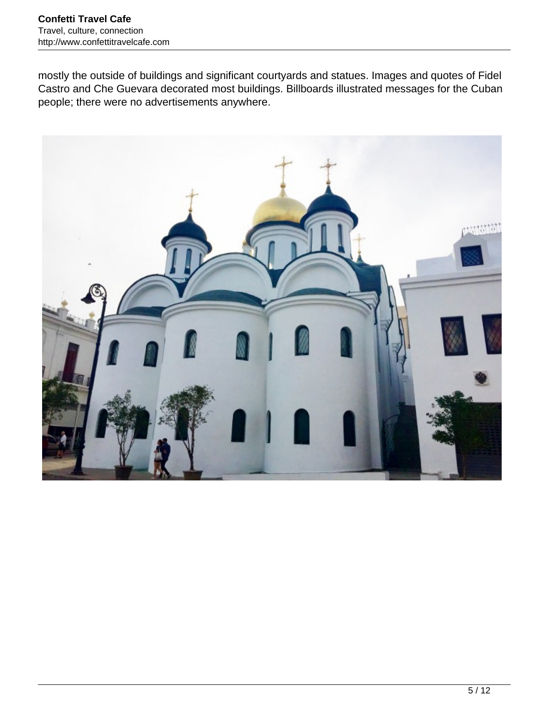mostly the outside of buildings and significant courtyards and statues. Images and quotes of Fidel Castro and Che Guevara decorated most buildings. Billboards illustrated messages for the Cuban people; there were no advertisements anywhere.

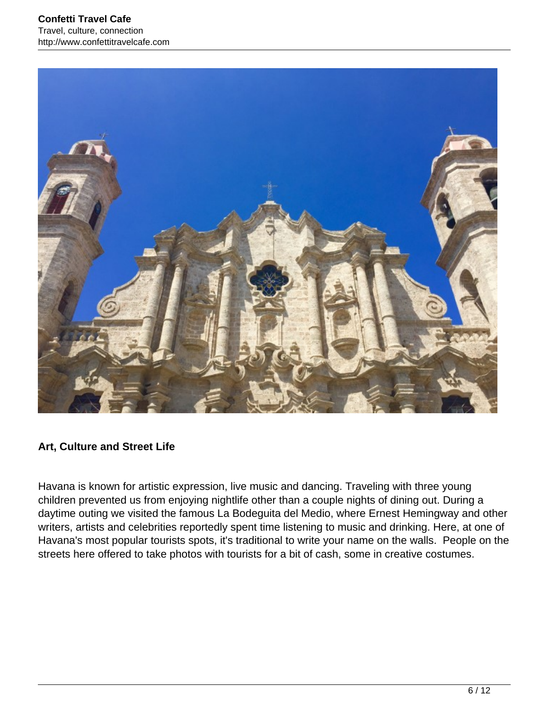

#### **Art, Culture and Street Life**

Havana is known for artistic expression, live music and dancing. Traveling with three young children prevented us from enjoying nightlife other than a couple nights of dining out. During a daytime outing we visited the famous La Bodeguita del Medio, where Ernest Hemingway and other writers, artists and celebrities reportedly spent time listening to music and drinking. Here, at one of Havana's most popular tourists spots, it's traditional to write your name on the walls. People on the streets here offered to take photos with tourists for a bit of cash, some in creative costumes.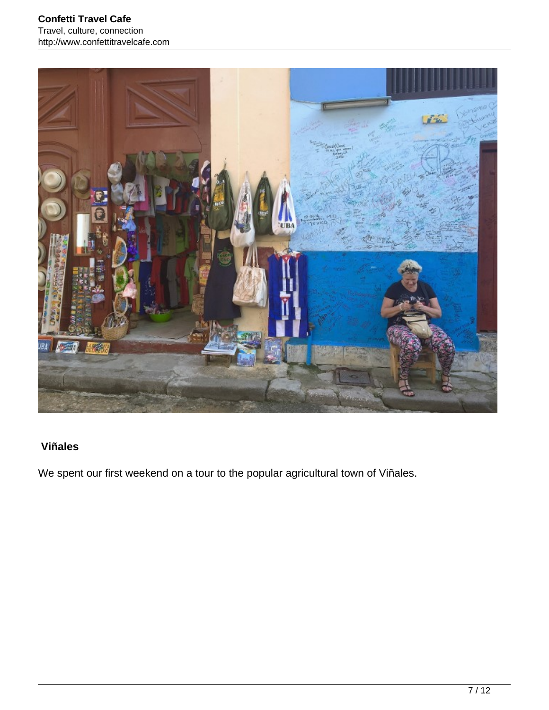

## **Viñales**

We spent our first weekend on a tour to the popular agricultural town of Viñales.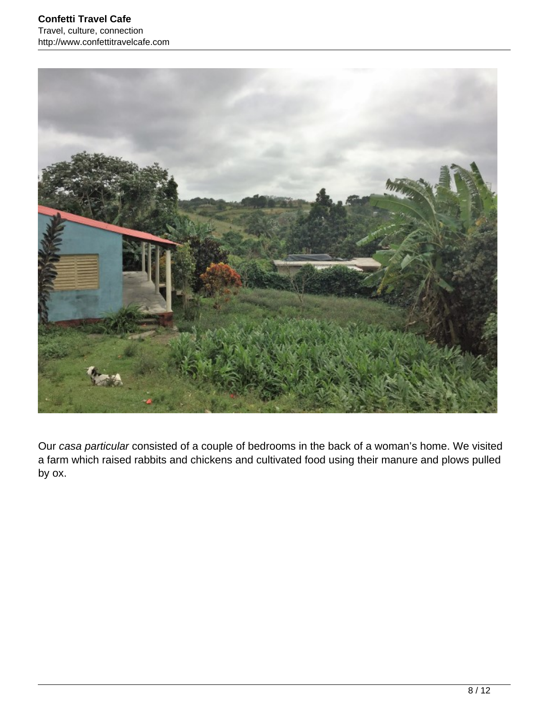

Our casa particular consisted of a couple of bedrooms in the back of a woman's home. We visited a farm which raised rabbits and chickens and cultivated food using their manure and plows pulled by ox.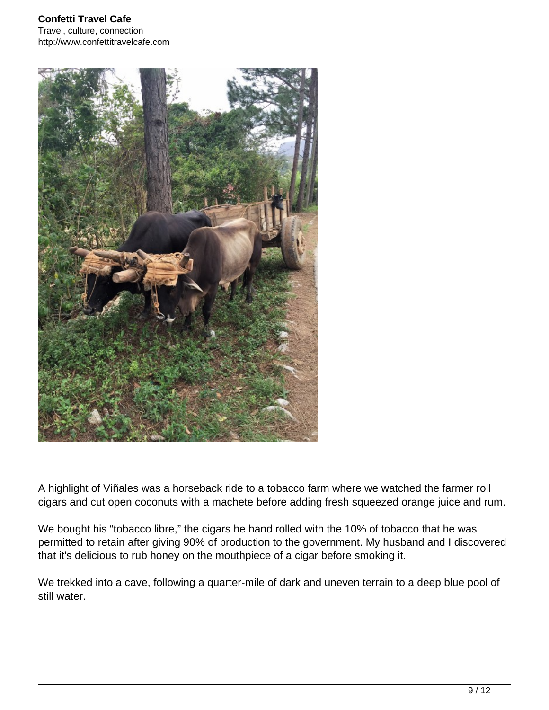

A highlight of Viñales was a horseback ride to a tobacco farm where we watched the farmer roll cigars and cut open coconuts with a machete before adding fresh squeezed orange juice and rum.

We bought his "tobacco libre," the cigars he hand rolled with the 10% of tobacco that he was permitted to retain after giving 90% of production to the government. My husband and I discovered that it's delicious to rub honey on the mouthpiece of a cigar before smoking it.

We trekked into a cave, following a quarter-mile of dark and uneven terrain to a deep blue pool of still water.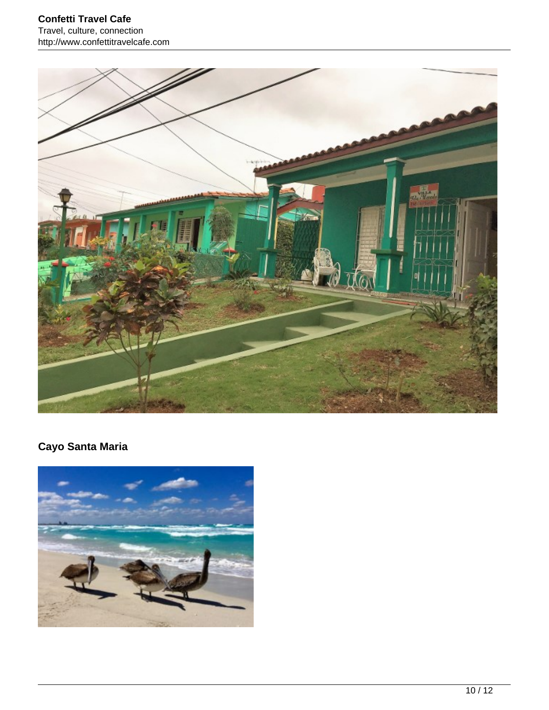

# **Cayo Santa Maria**

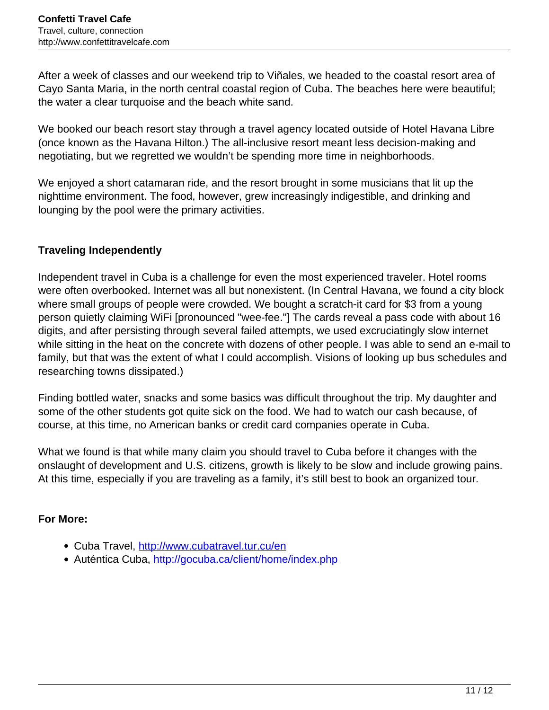After a week of classes and our weekend trip to Viñales, we headed to the coastal resort area of Cayo Santa Maria, in the north central coastal region of Cuba. The beaches here were beautiful; the water a clear turquoise and the beach white sand.

We booked our beach resort stay through a travel agency located outside of Hotel Havana Libre (once known as the Havana Hilton.) The all-inclusive resort meant less decision-making and negotiating, but we regretted we wouldn't be spending more time in neighborhoods.

We enjoyed a short catamaran ride, and the resort brought in some musicians that lit up the nighttime environment. The food, however, grew increasingly indigestible, and drinking and lounging by the pool were the primary activities.

### **Traveling Independently**

Independent travel in Cuba is a challenge for even the most experienced traveler. Hotel rooms were often overbooked. Internet was all but nonexistent. (In Central Havana, we found a city block where small groups of people were crowded. We bought a scratch-it card for \$3 from a young person quietly claiming WiFi [pronounced "wee-fee."] The cards reveal a pass code with about 16 digits, and after persisting through several failed attempts, we used excruciatingly slow internet while sitting in the heat on the concrete with dozens of other people. I was able to send an e-mail to family, but that was the extent of what I could accomplish. Visions of looking up bus schedules and researching towns dissipated.)

Finding bottled water, snacks and some basics was difficult throughout the trip. My daughter and some of the other students got quite sick on the food. We had to watch our cash because, of course, at this time, no American banks or credit card companies operate in Cuba.

What we found is that while many claim you should travel to Cuba before it changes with the onslaught of development and U.S. citizens, growth is likely to be slow and include growing pains. At this time, especially if you are traveling as a family, it's still best to book an organized tour.

#### **For More:**

- Cuba Travel, <http://www.cubatravel.tur.cu/en>
- Auténtica Cuba,<http://gocuba.ca/client/home/index.php>